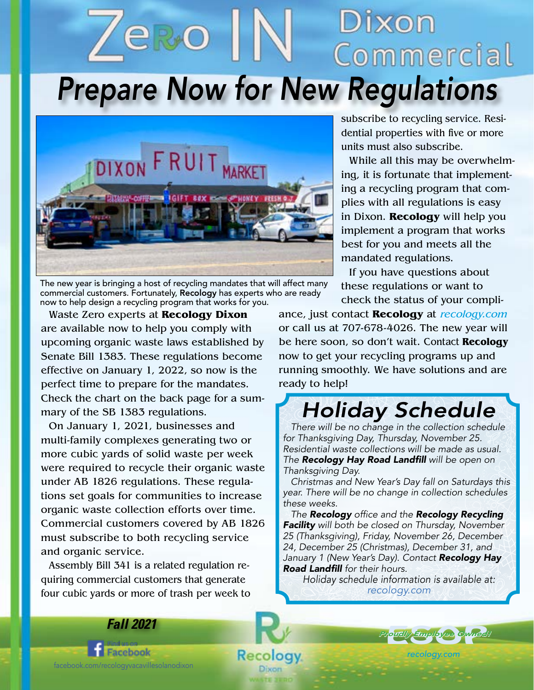## Dixon Commercial *Prepare Now for New Regulations*



The new year is bringing a host of recycling mandates that will affect many commercial customers. Fortunately, Recology has experts who are ready now to help design a recycling program that works for you.

Waste Zero experts at **Recology Dixon**  are available now to help you comply with upcoming organic waste laws established by Senate Bill 1383. These regulations become effective on January 1, 2022, so now is the perfect time to prepare for the mandates. Check the chart on the back page for a summary of the SB 1383 regulations.

On January 1, 2021, businesses and multi-family complexes generating two or more cubic yards of solid waste per week were required to recycle their organic waste under AB 1826 regulations. These regulations set goals for communities to increase organic waste collection efforts over time. Commercial customers covered by AB 1826 must subscribe to both recycling service and organic service.

Assembly Bill 341 is a related regulation requiring commercial customers that generate four cubic yards or more of trash per week to subscribe to recycling service. Residential properties with five or more units must also subscribe.

While all this may be overwhelming, it is fortunate that implementing a recycling program that complies with all regulations is easy in Dixon. **Recology** will help you implement a program that works best for you and meets all the mandated regulations.

If you have questions about these regulations or want to check the status of your compli-

ance, just contact **Recology** at recology.com or call us at 707-678-4026. The new year will be here soon, so don't wait. Contact **Recology** now to get your recycling programs up and running smoothly. We have solutions and are ready to help!

### *Holiday Schedule*

*There will be no change in the collection schedule for Thanksgiving Day, Thursday, November 25. Residential waste collections will be made as usual. The* Recology Hay Road Landfill *will be open on Thanksgiving Day.* 

*Christmas and New Year's Day fall on Saturdays this year. There will be no change in collection schedules these weeks.*

*The Recology* office and the *Recology Recycling Facility will both be closed on Thursday, November 25 (Thanksgiving), Friday, November 26, December 24, December 25 (Christmas), December 31, and January 1 (New Year's Day). Contact Recology Hay*  Road Landfill *for their hours.*

*Holiday schedule information is available at: recology.com*

Facebook facebook.com/recologyvacavillesolanodixon

Recol

Dixon

logy.

*Fall 2021*



*recology.com*